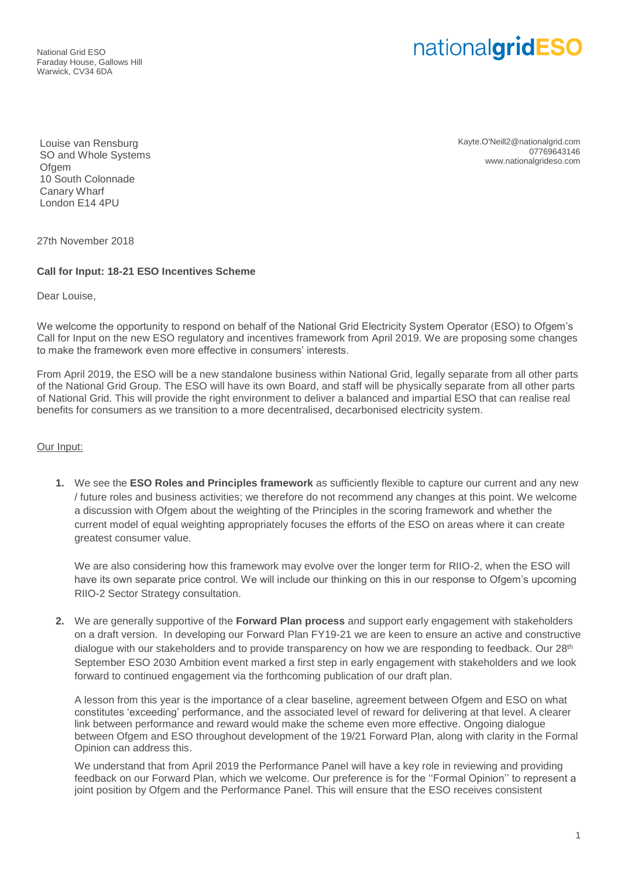National Grid ESO Faraday House, Gallows Hill Warwick, CV34 6DA

## nationalgridESO

Louise van Rensburg SO and Whole Systems Ofgem 10 South Colonnade Canary Wharf London E14 4PU

Kayte.O'Neill2@nationalgrid.com 07769643146 www.nationalgrideso.com

27th November 2018

## **Call for Input: 18-21 ESO Incentives Scheme**

Dear Louise,

We welcome the opportunity to respond on behalf of the National Grid Electricity System Operator (ESO) to Ofgem's Call for Input on the new ESO regulatory and incentives framework from April 2019. We are proposing some changes to make the framework even more effective in consumers' interests.

From April 2019, the ESO will be a new standalone business within National Grid, legally separate from all other parts of the National Grid Group. The ESO will have its own Board, and staff will be physically separate from all other parts of National Grid. This will provide the right environment to deliver a balanced and impartial ESO that can realise real benefits for consumers as we transition to a more decentralised, decarbonised electricity system.

## Our Input:

**1.** We see the **ESO Roles and Principles framework** as sufficiently flexible to capture our current and any new / future roles and business activities; we therefore do not recommend any changes at this point. We welcome a discussion with Ofgem about the weighting of the Principles in the scoring framework and whether the current model of equal weighting appropriately focuses the efforts of the ESO on areas where it can create greatest consumer value.

We are also considering how this framework may evolve over the longer term for RIIO-2, when the ESO will have its own separate price control. We will include our thinking on this in our response to Ofgem's upcoming RIIO-2 Sector Strategy consultation.

**2.** We are generally supportive of the **Forward Plan process** and support early engagement with stakeholders on a draft version. In developing our Forward Plan FY19-21 we are keen to ensure an active and constructive dialogue with our stakeholders and to provide transparency on how we are responding to feedback. Our 28<sup>th</sup> September ESO 2030 Ambition event marked a first step in early engagement with stakeholders and we look forward to continued engagement via the forthcoming publication of our draft plan.

A lesson from this year is the importance of a clear baseline, agreement between Ofgem and ESO on what constitutes 'exceeding' performance, and the associated level of reward for delivering at that level. A clearer link between performance and reward would make the scheme even more effective. Ongoing dialogue between Ofgem and ESO throughout development of the 19/21 Forward Plan, along with clarity in the Formal Opinion can address this.

We understand that from April 2019 the Performance Panel will have a key role in reviewing and providing feedback on our Forward Plan, which we welcome. Our preference is for the ''Formal Opinion'' to represent a joint position by Ofgem and the Performance Panel. This will ensure that the ESO receives consistent